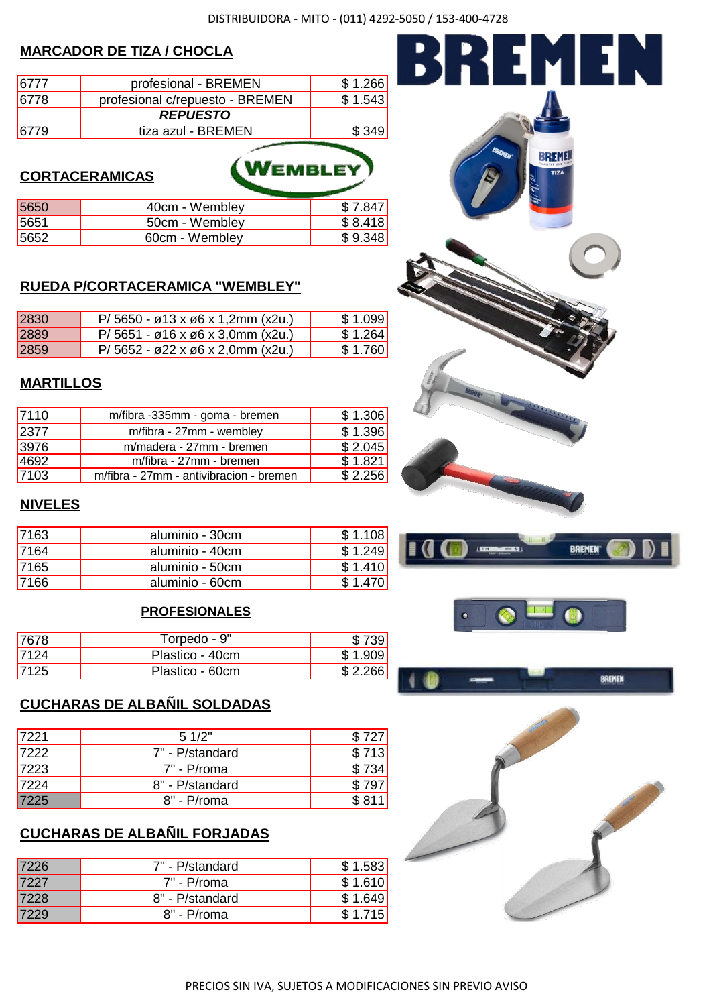WEMBLEY

### **MARCADOR DE TIZA / CHOCLA**

| 6777 | profesional - BREMEN            | \$1.266 |
|------|---------------------------------|---------|
| 6778 | profesional c/repuesto - BREMEN | \$1.543 |
|      | <b>REPUESTO</b>                 |         |
|      | tiza azul - BREMEN              |         |

#### **CORTACERAMICAS**

| 5650 | 40cm - Wembley | \$7.847 |
|------|----------------|---------|
| 5651 | 50cm - Wembley | \$8.418 |
| 5652 | 60cm - Wembley | \$9.348 |

#### **RUEDA P/CORTACERAMICA "WEMBLEY"**

| 2830        | $P/5650 - \varnothing$ 13 x $\varnothing$ 6 x 1,2mm (x2u.)          | \$1.099 |
|-------------|---------------------------------------------------------------------|---------|
| <b>2889</b> | $P/5651 - \varnothing 16 \times \varnothing 6 \times 3.0$ mm (x2u.) | \$1.264 |
| 2859        | $P/5652 - 22 \times 06 \times 2,0$ mm (x2u.)                        | \$1.760 |

#### **MARTILLOS**

| 7110  | m/fibra -335mm - goma - bremen          | \$1.306 |
|-------|-----------------------------------------|---------|
| 2377  | m/fibra - 27mm - wembley                | \$1.396 |
| 3976  | m/madera - 27mm - bremen                | \$2.045 |
| '4692 | m/fibra - 27mm - bremen                 | \$1.821 |
| 7103  | m/fibra - 27mm - antivibracion - bremen | \$2.256 |

#### **NIVELES**

| 7163        | aluminio - 30cm | \$1.108 |
|-------------|-----------------|---------|
| 7164        | aluminio - 40cm | \$1.249 |
| <b>7165</b> | aluminio - 50cm | \$1.410 |
| 7166        | aluminio - 60cm | \$1.470 |

#### **PROFESIONALES**

| 17678 | Torpedo - 9"    |                 |
|-------|-----------------|-----------------|
| 17124 | Plastico - 40cm | \$1.909         |
| 17125 | Plastico - 60cm | <b>C</b> ၁ ၁၉၉၂ |

# **CUCHARAS DE ALBAÑIL SOLDADAS**

| 17221 | 51/2"            | \$727 |
|-------|------------------|-------|
| 7222  | 7" - P/standard  | \$713 |
| 17223 | 7" - P/roma      | \$734 |
| 7224  | 8" - P/standard  | \$797 |
| 7225  | $8"$ - $P$ /roma | \$811 |

# **CUCHARAS DE ALBAÑIL FORJADAS**

| 7226        | 7" - P/standard | \$1.583 |
|-------------|-----------------|---------|
| <b>7227</b> | $7"$ - P/roma   | \$1.610 |
| <b>7228</b> | 8" - P/standard | \$1.649 |
|             | $8"$ - P/roma   | \$1.715 |







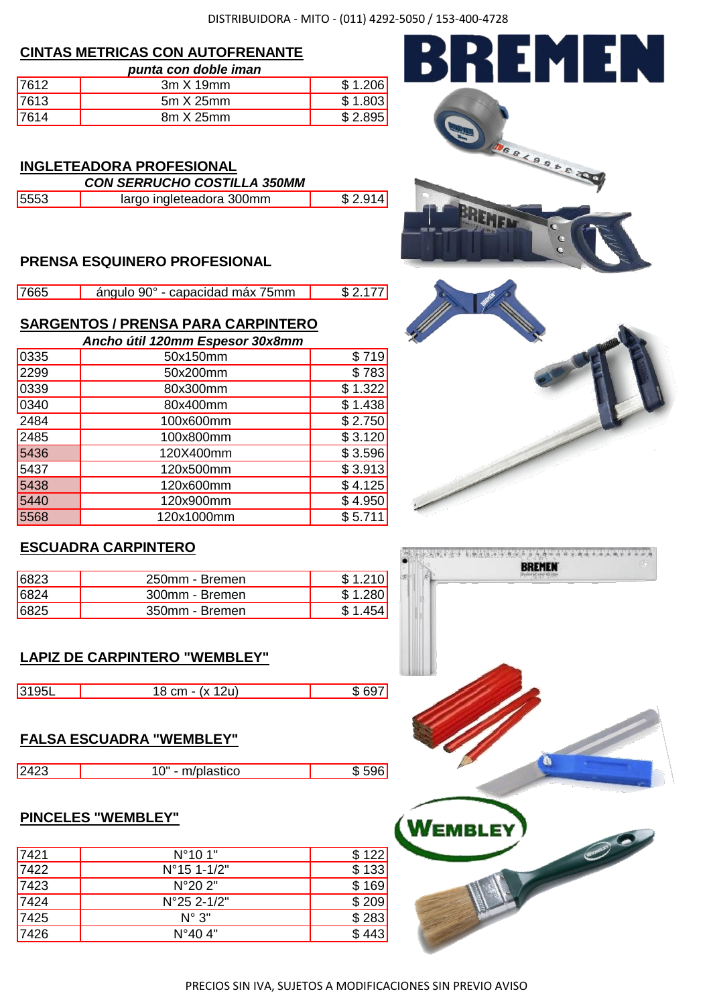#### **CINTAS METRICAS CON AUTOFRENANTE**

|       | punta con doble iman |         |
|-------|----------------------|---------|
| 7612  | $3m \times 19mm$     | \$1.206 |
| '7613 | $5m \times 25mm$     | \$1.803 |
| 7614  | 8m X 25mm            | \$2.895 |

#### **INGLETEADORA PROFESIONAL** *CON SERRUCHO COSTILLA 350MM*

| <u>UUN JENNUUNU UUJIILLA JJUININ</u> |                          |          |
|--------------------------------------|--------------------------|----------|
| 5553                                 | largo ingleteadora 300mm | \$2.914] |

# **PRENSA ESQUINERO PROFESIONAL**

| 7665 | ángulo 90° - capacidad máx 75mm | \$2.177 |
|------|---------------------------------|---------|

# **SARGENTOS / PRENSA PARA CARPINTERO**

|      | Ancho útil 120mm Espesor 30x8mm |         |
|------|---------------------------------|---------|
| 0335 | 50x150mm                        | \$719   |
| 2299 | 50x200mm                        | \$783   |
| 0339 | 80x300mm                        | \$1.322 |
| 0340 | 80x400mm                        | \$1.438 |
| 2484 | 100x600mm                       | \$2.750 |
| 2485 | 100x800mm                       | \$3.120 |
| 5436 | 120X400mm                       | \$3.596 |
| 5437 | 120x500mm                       | \$3.913 |
| 5438 | 120x600mm                       | \$4.125 |
| 5440 | 120x900mm                       | \$4.950 |
| 5568 | 120x1000mm                      | \$5.711 |

# **ESCUADRA CARPINTERO**

| 16823 | 250mm - Bremen | \$1,210 |
|-------|----------------|---------|
| 6824  | 300mm - Bremen | \$1.280 |
| 6825  | 350mm - Bremen |         |

# **LAPIZ DE CARPINTERO "WEMBLEY"**

| 3195L | (x 12u)<br>18 cm - ເ | . ຂດ=ີ |
|-------|----------------------|--------|

### **FALSA ESCUADRA "WEMBLEY"**

| $\Omega$<br>stico<br>-<br>- |  |  |
|-----------------------------|--|--|
|                             |  |  |

# **PINCELES "WEMBLEY"**

| 7421 | $N^{\circ}101"$       | \$122] |
|------|-----------------------|--------|
| 7422 | $N^{\circ}$ 15 1-1/2" | \$133  |
| 7423 | $N^{\circ}202"$       | \$169  |
| 7424 | N°25 2-1/2"           | \$209  |
| 7425 | $N^{\circ}$ 3"        | \$283  |
| 7426 | $N^{\circ}404$ "      | \$443  |